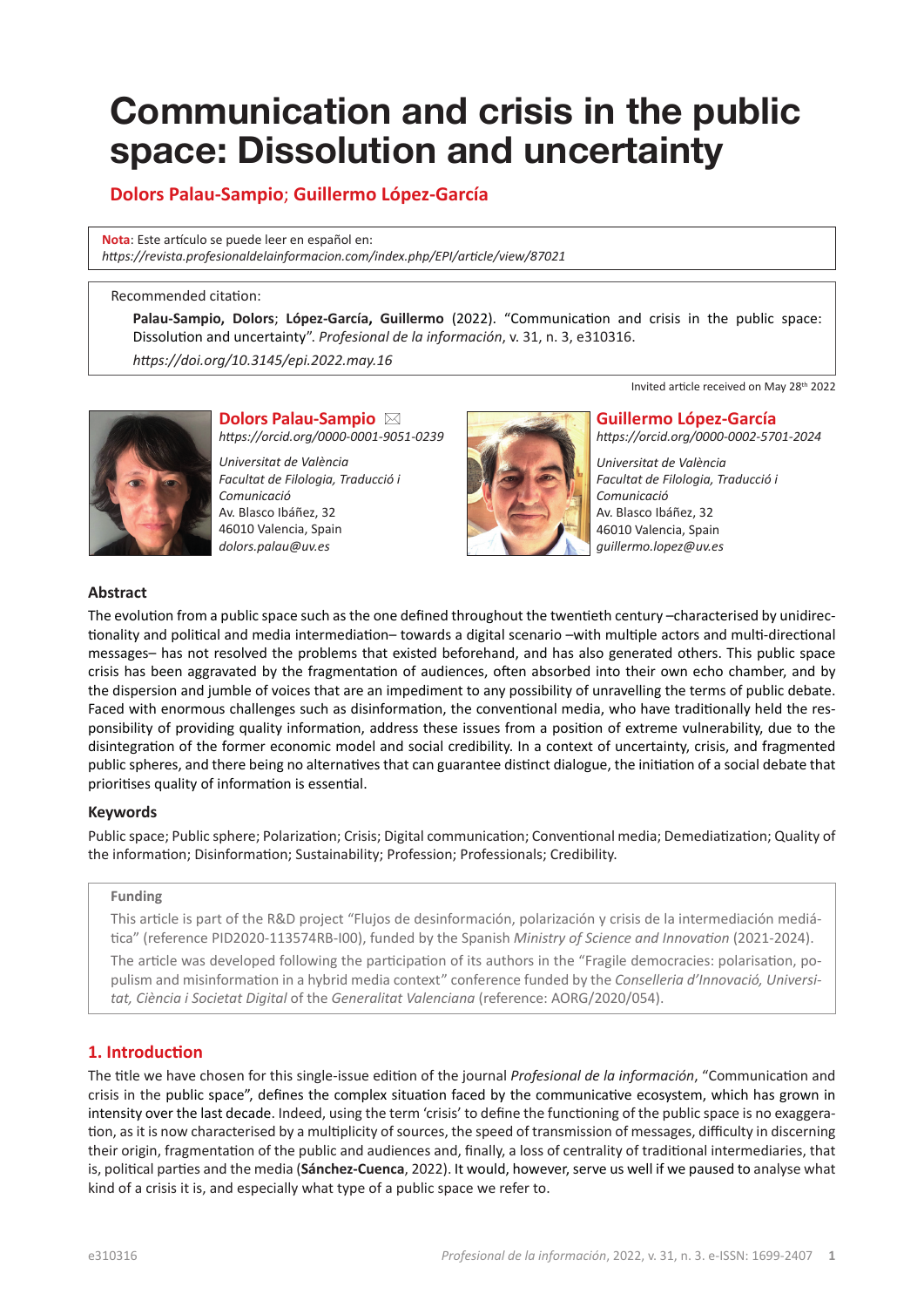# **Communication and crisis in the public space: Dissolution and uncertainty**

# **Dolors Palau-Sampio**; **Guillermo López-García**

**Nota**: Este artículo se puede leer en español en: *[https://revista.profesionaldelainformacion.com/index.php/EPI/article/view/8](https://revista.profesionaldelainformacion.com/index.php/EPI/article/view/87021)7021*

#### Recommended citation:

**Palau-Sampio, Dolors**; **López-García, Guillermo** (2022). "Communication and crisis in the public space: Dissolution and uncertainty". *Profesional de la información*, v. 31, n. 3, e310316.

*[https://doi.org/10.3145/epi.2022.ma](https://doi.org/10.3145/epi.2022.may.16)y.16*



# **Dolors Palau-Sampio** \*

*<https://orcid.org/0000-0001-9051-0239>*

*Universitat de València Facultat de Filologia, Traducció i Comunicació* Av. Blasco Ibáñez, 32 46010 Valencia, Spain *[dolors.palau@uv.es](mailto:dolors.palau@uv.es)*



Invited article received on May 28th 2022

#### **Guillermo López-García**

*<https://orcid.org/0000-0002-5701-2024>*

*Universitat de València Facultat de Filologia, Traducció i Comunicació* Av. Blasco Ibáñez, 32 46010 Valencia, Spain *[guillermo.lopez@uv.es](mailto:guillermo.lopez@uv.es)*

#### **Abstract**

The evolution from a public space such as the one defined throughout the twentieth century –characterised by unidirectionality and political and media intermediation– towards a digital scenario –with multiple actors and multi-directional messages– has not resolved the problems that existed beforehand, and has also generated others. This public space crisis has been aggravated by the fragmentation of audiences, often absorbed into their own echo chamber, and by the dispersion and jumble of voices that are an impediment to any possibility of unravelling the terms of public debate. Faced with enormous challenges such as disinformation, the conventional media, who have traditionally held the responsibility of providing quality information, address these issues from a position of extreme vulnerability, due to the disintegration of the former economic model and social credibility. In a context of uncertainty, crisis, and fragmented public spheres, and there being no alternatives that can guarantee distinct dialogue, the initiation of a social debate that prioritises quality of information is essential.

#### **Keywords**

Public space; Public sphere; Polarization; Crisis; Digital communication; Conventional media; Demediatization; Quality of the information; Disinformation; Sustainability; Profession; Professionals; Credibility.

#### **Funding**

This article is part of the R&D project "Flujos de desinformación, polarización y crisis de la intermediación mediática" (reference PID2020-113574RB-I00), funded by the Spanish *Ministry of Science and Innovation* (2021-2024).

The article was developed following the participation of its authors in the "Fragile democracies: polarisation, populism and misinformation in a hybrid media context" conference funded by the *Conselleria d'Innovació, Universitat, Ciència i Societat Digital* of the *Generalitat Valenciana* (reference: AORG/2020/054).

# **1. Introduction**

The title we have chosen for this single-issue edition of the journal *Profesional de la información*, "Communication and crisis in the public space", defines the complex situation faced by the communicative ecosystem, which has grown in intensity over the last decade. Indeed, using the term 'crisis' to define the functioning of the public space is no exaggeration, as it is now characterised by a multiplicity of sources, the speed of transmission of messages, difficulty in discerning their origin, fragmentation of the public and audiences and, finally, a loss of centrality of traditional intermediaries, that is, political parties and the media (**Sánchez-Cuenca**, 2022). It would, however, serve us well if we paused to analyse what kind of a crisis it is, and especially what type of a public space we refer to.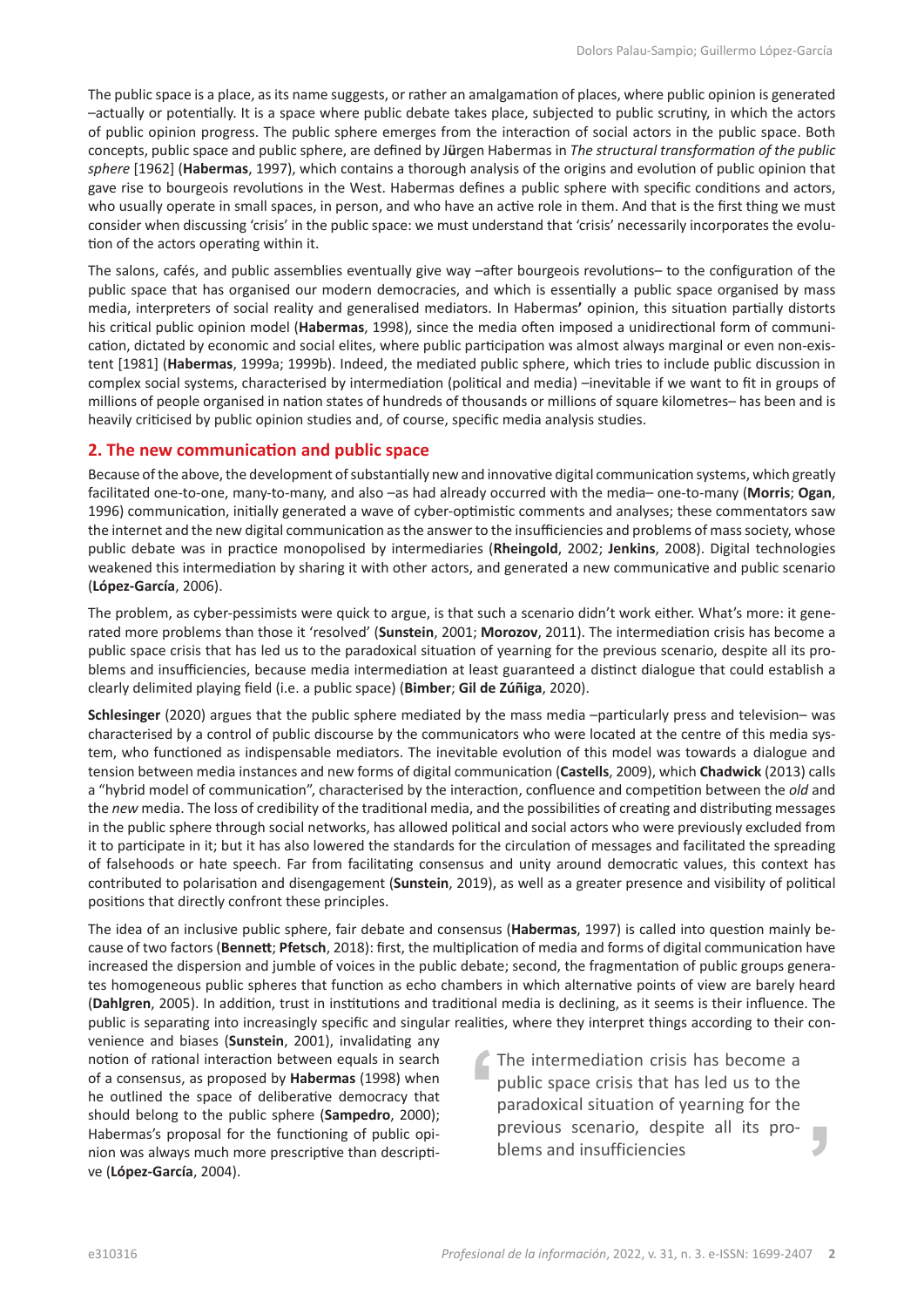The public space is a place, as its name suggests, or rather an amalgamation of places, where public opinion is generated –actually or potentially. It is a space where public debate takes place, subjected to public scrutiny, in which the actors of public opinion progress. The public sphere emerges from the interaction of social actors in the public space. Both concepts, public space and public sphere, are defined by J**ü**rgen Habermas in *The structural transformation of the public sphere* [1962] (**Habermas**, 1997), which contains a thorough analysis of the origins and evolution of public opinion that gave rise to bourgeois revolutions in the West. Habermas defines a public sphere with specific conditions and actors, who usually operate in small spaces, in person, and who have an active role in them. And that is the first thing we must consider when discussing 'crisis' in the public space: we must understand that 'crisis' necessarily incorporates the evolution of the actors operating within it.

The salons, cafés, and public assemblies eventually give way –after bourgeois revolutions– to the configuration of the public space that has organised our modern democracies, and which is essentially a public space organised by mass media, interpreters of social reality and generalised mediators. In Habermas**'** opinion, this situation partially distorts his critical public opinion model (**Habermas**, 1998), since the media often imposed a unidirectional form of communication, dictated by economic and social elites, where public participation was almost always marginal or even non-existent [1981] (**Habermas**, 1999a; 1999b). Indeed, the mediated public sphere, which tries to include public discussion in complex social systems, characterised by intermediation (political and media) –inevitable if we want to fit in groups of millions of people organised in nation states of hundreds of thousands or millions of square kilometres– has been and is heavily criticised by public opinion studies and, of course, specific media analysis studies.

#### **2. The new communication and public space**

Because of the above, the development of substantially new and innovative digital communication systems, which greatly facilitated one-to-one, many-to-many, and also –as had already occurred with the media– one-to-many (**Morris**; **Ogan**, 1996) communication, initially generated a wave of cyber-optimistic comments and analyses; these commentators saw the internet and the new digital communication as the answer to the insufficiencies and problems of mass society, whose public debate was in practice monopolised by intermediaries (**Rheingold**, 2002; **Jenkins**, 2008). Digital technologies weakened this intermediation by sharing it with other actors, and generated a new communicative and public scenario (**López-García**, 2006).

The problem, as cyber-pessimists were quick to argue, is that such a scenario didn't work either. What's more: it generated more problems than those it 'resolved' (**Sunstein**, 2001; **Morozov**, 2011). The intermediation crisis has become a public space crisis that has led us to the paradoxical situation of yearning for the previous scenario, despite all its problems and insufficiencies, because media intermediation at least guaranteed a distinct dialogue that could establish a clearly delimited playing field (i.e. a public space) (**Bimber**; **Gil de Zúñiga**, 2020).

**Schlesinger** (2020) argues that the public sphere mediated by the mass media –particularly press and television– was characterised by a control of public discourse by the communicators who were located at the centre of this media system, who functioned as indispensable mediators. The inevitable evolution of this model was towards a dialogue and tension between media instances and new forms of digital communication (**Castells**, 2009), which **Chadwick** (2013) calls a "hybrid model of communication", characterised by the interaction, confluence and competition between the *old* and the *new* media. The loss of credibility of the traditional media, and the possibilities of creating and distributing messages in the public sphere through social networks, has allowed political and social actors who were previously excluded from it to participate in it; but it has also lowered the standards for the circulation of messages and facilitated the spreading of falsehoods or hate speech. Far from facilitating consensus and unity around democratic values, this context has contributed to polarisation and disengagement (**Sunstein**, 2019), as well as a greater presence and visibility of political positions that directly confront these principles.

The idea of an inclusive public sphere, fair debate and consensus (**Habermas**, 1997) is called into question mainly because of two factors (**Bennett**; **Pfetsch**, 2018): first, the multiplication of media and forms of digital communication have increased the dispersion and jumble of voices in the public debate; second, the fragmentation of public groups generates homogeneous public spheres that function as echo chambers in which alternative points of view are barely heard (**Dahlgren**, 2005). In addition, trust in institutions and traditional media is declining, as it seems is their influence. The public is separating into increasingly specific and singular realities, where they interpret things according to their con-

venience and biases (**Sunstein**, 2001), invalidating any notion of rational interaction between equals in search of a consensus, as proposed by **Habermas** (1998) when he outlined the space of deliberative democracy that should belong to the public sphere (**Sampedro**, 2000); Habermas's proposal for the functioning of public opinion was always much more prescriptive than descriptive (**López-García**, 2004).

The intermediation crisis has become a public space crisis that has led us to the paradoxical situation of yearning for the previous scenario, despite all its problems and insufficiencies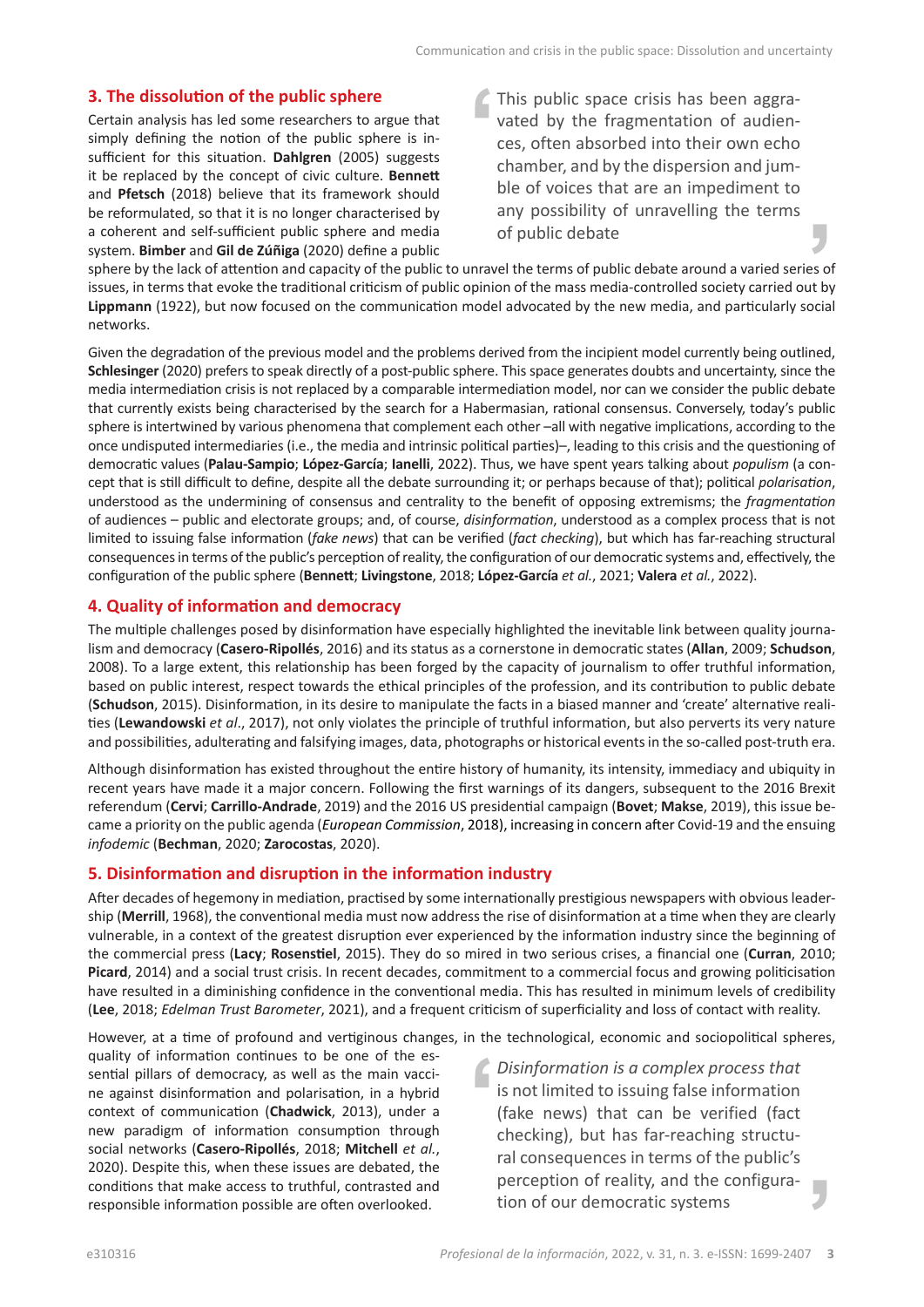### **3. The dissolution of the public sphere**

Certain analysis has led some researchers to argue that simply defining the notion of the public sphere is insufficient for this situation. **Dahlgren** (2005) suggests it be replaced by the concept of civic culture. **Bennett**  and **Pfetsch** (2018) believe that its framework should be reformulated, so that it is no longer characterised by a coherent and self-sufficient public sphere and media system. **Bimber** and **Gil de Zúñiga** (2020) define a public This public space crisis has been aggravated by the fragmentation of audiences, often absorbed into their own echo chamber, and by the dispersion and jumble of voices that are an impediment to any possibility of unravelling the terms of public debate

sphere by the lack of attention and capacity of the public to unravel the terms of public debate around a varied series of issues, in terms that evoke the traditional criticism of public opinion of the mass media-controlled society carried out by **Lippmann** (1922), but now focused on the communication model advocated by the new media, and particularly social networks.

Given the degradation of the previous model and the problems derived from the incipient model currently being outlined, **Schlesinger** (2020) prefers to speak directly of a post-public sphere. This space generates doubts and uncertainty, since the media intermediation crisis is not replaced by a comparable intermediation model, nor can we consider the public debate that currently exists being characterised by the search for a Habermasian, rational consensus. Conversely, today's public sphere is intertwined by various phenomena that complement each other –all with negative implications, according to the once undisputed intermediaries (i.e., the media and intrinsic political parties)–, leading to this crisis and the questioning of democratic values (**Palau-Sampio**; **López-García**; **Ianelli**, 2022). Thus, we have spent years talking about *populism* (a concept that is still difficult to define, despite all the debate surrounding it; or perhaps because of that); political *polarisation*, understood as the undermining of consensus and centrality to the benefit of opposing extremisms; the *fragmentation* of audiences – public and electorate groups; and, of course, *disinformation*, understood as a complex process that is not limited to issuing false information (*fake news*) that can be verified (*fact checking*), but which has far-reaching structural consequences in terms of the public's perception of reality, the configuration of our democratic systems and, effectively, the configuration of the public sphere (**Bennett**; **Livingstone**, 2018; **López-García** *et al.*, 2021; **Valera** *et al.*, 2022).

# **4. Quality of information and democracy**

The multiple challenges posed by disinformation have especially highlighted the inevitable link between quality journalism and democracy (**Casero-Ripollés**, 2016) and its status as a cornerstone in democratic states (**Allan**, 2009; **Schudson**, 2008). To a large extent, this relationship has been forged by the capacity of journalism to offer truthful information, based on public interest, respect towards the ethical principles of the profession, and its contribution to public debate (**Schudson**, 2015). Disinformation, in its desire to manipulate the facts in a biased manner and 'create' alternative realities (**Lewandowski** *et al*., 2017), not only violates the principle of truthful information, but also perverts its very nature and possibilities, adulterating and falsifying images, data, photographs or historical events in the so-called post-truth era.

Although disinformation has existed throughout the entire history of humanity, its intensity, immediacy and ubiquity in recent years have made it a major concern. Following the first warnings of its dangers, subsequent to the 2016 Brexit referendum (**Cervi**; **Carrillo-Andrade**, 2019) and the 2016 US presidential campaign (**Bovet**; **Makse**, 2019), this issue became a priority on the public agenda (*European Commission*, 2018), increasing in concern after Covid-19 and the ensuing *infodemic* (**Bechman**, 2020; **Zarocostas**, 2020).

# **5. Disinformation and disruption in the information industry**

After decades of hegemony in mediation, practised by some internationally prestigious newspapers with obvious leadership (**Merrill**, 1968), the conventional media must now address the rise of disinformation at a time when they are clearly vulnerable, in a context of the greatest disruption ever experienced by the information industry since the beginning of the commercial press (**Lacy**; **Rosenstiel**, 2015). They do so mired in two serious crises, a financial one (**Curran**, 2010; **Picard**, 2014) and a social trust crisis. In recent decades, commitment to a commercial focus and growing politicisation have resulted in a diminishing confidence in the conventional media. This has resulted in minimum levels of credibility (**Lee**, 2018; *Edelman Trust Barometer*, 2021), and a frequent criticism of superficiality and loss of contact with reality.

However, at a time of profound and vertiginous changes, in the technological, economic and sociopolitical spheres,

quality of information continues to be one of the essential pillars of democracy, as well as the main vaccine against disinformation and polarisation, in a hybrid context of communication (**Chadwick**, 2013), under a new paradigm of information consumption through social networks (**Casero-Ripollés**, 2018; **Mitchell** *et al.*, 2020). Despite this, when these issues are debated, the conditions that make access to truthful, contrasted and responsible information possible are often overlooked.

*Disinformation is a complex process that*  is not limited to issuing false information (fake news) that can be verified (fact checking), but has far-reaching structural consequences in terms of the public's perception of reality, and the configuration of our democratic systems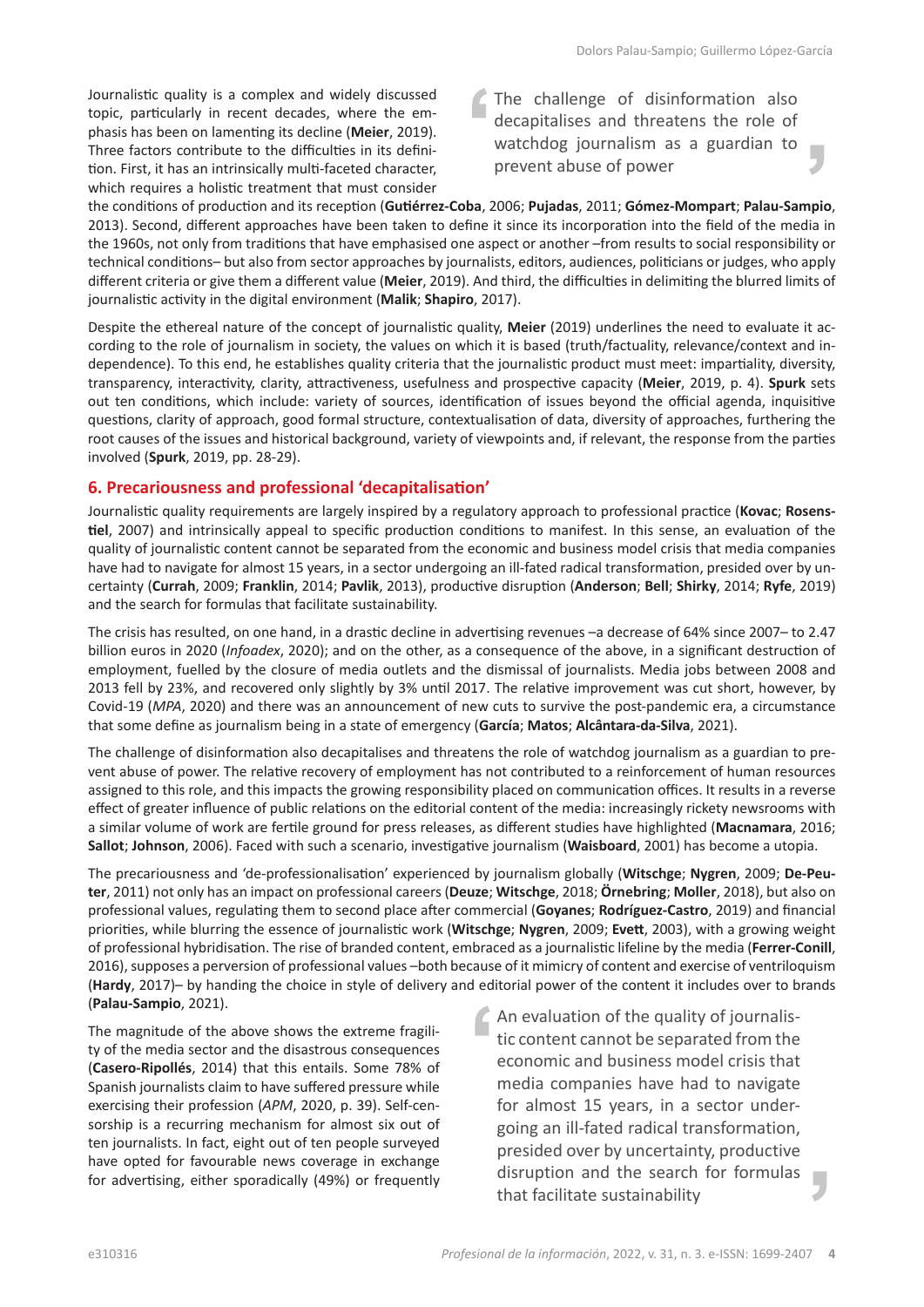Journalistic quality is a complex and widely discussed topic, particularly in recent decades, where the emphasis has been on lamenting its decline (**Meier**, 2019). Three factors contribute to the difficulties in its definition. First, it has an intrinsically multi-faceted character, which requires a holistic treatment that must consider The challenge of disinformation also decapitalises and threatens the role of watchdog journalism as a guardian to prevent abuse of power

the conditions of production and its reception (**Gutiérrez-Coba**, 2006; **Pujadas**, 2011; **Gómez-Mompart**; **Palau-Sampio**, 2013). Second, different approaches have been taken to define it since its incorporation into the field of the media in the 1960s, not only from traditions that have emphasised one aspect or another –from results to social responsibility or technical conditions– but also from sector approaches by journalists, editors, audiences, politicians or judges, who apply different criteria or give them a different value (**Meier**, 2019). And third, the difficulties in delimiting the blurred limits of journalistic activity in the digital environment (**Malik**; **Shapiro**, 2017).

Despite the ethereal nature of the concept of journalistic quality, **Meier** (2019) underlines the need to evaluate it according to the role of journalism in society, the values on which it is based (truth/factuality, relevance/context and independence). To this end, he establishes quality criteria that the journalistic product must meet: impartiality, diversity, transparency, interactivity, clarity, attractiveness, usefulness and prospective capacity (**Meier**, 2019, p. 4). **Spurk** sets out ten conditions, which include: variety of sources, identification of issues beyond the official agenda, inquisitive questions, clarity of approach, good formal structure, contextualisation of data, diversity of approaches, furthering the root causes of the issues and historical background, variety of viewpoints and, if relevant, the response from the parties involved (**Spurk**, 2019, pp. 28-29).

# **6. Precariousness and professional 'decapitalisation'**

Journalistic quality requirements are largely inspired by a regulatory approach to professional practice (**Kovac**; **Rosenstiel**, 2007) and intrinsically appeal to specific production conditions to manifest. In this sense, an evaluation of the quality of journalistic content cannot be separated from the economic and business model crisis that media companies have had to navigate for almost 15 years, in a sector undergoing an ill-fated radical transformation, presided over by uncertainty (**Currah**, 2009; **Franklin**, 2014; **Pavlik**, 2013), productive disruption (**Anderson**; **Bell**; **Shirky**, 2014; **Ryfe**, 2019) and the search for formulas that facilitate sustainability.

The crisis has resulted, on one hand, in a drastic decline in advertising revenues –a decrease of 64% since 2007– to 2.47 billion euros in 2020 (*Infoadex*, 2020); and on the other, as a consequence of the above, in a significant destruction of employment, fuelled by the closure of media outlets and the dismissal of journalists. Media jobs between 2008 and 2013 fell by 23%, and recovered only slightly by 3% until 2017. The relative improvement was cut short, however, by Covid-19 (*MPA*, 2020) and there was an announcement of new cuts to survive the post-pandemic era, a circumstance that some define as journalism being in a state of emergency (**García**; **Matos**; **Alcântara-da-Silva**, 2021).

The challenge of disinformation also decapitalises and threatens the role of watchdog journalism as a guardian to prevent abuse of power. The relative recovery of employment has not contributed to a reinforcement of human resources assigned to this role, and this impacts the growing responsibility placed on communication offices. It results in a reverse effect of greater influence of public relations on the editorial content of the media: increasingly rickety newsrooms with a similar volume of work are fertile ground for press releases, as different studies have highlighted (**Macnamara**, 2016; **Sallot**; **Johnson**, 2006). Faced with such a scenario, investigative journalism (**Waisboard**, 2001) has become a utopia.

The precariousness and 'de-professionalisation' experienced by journalism globally (**Witschge**; **Nygren**, 2009; **De-Peuter**, 2011) not only has an impact on professional careers (**Deuze**; **Witschge**, 2018; **Örnebring**; **Moller**, 2018), but also on professional values, regulating them to second place after commercial (**Goyanes**; **Rodríguez-Castro**, 2019) and financial priorities, while blurring the essence of journalistic work (**Witschge**; **Nygren**, 2009; **Evett**, 2003), with a growing weight of professional hybridisation. The rise of branded content, embraced as a journalistic lifeline by the media (**Ferrer-Conill**, 2016), supposes a perversion of professional values –both because of it mimicry of content and exercise of ventriloquism (**Hardy**, 2017)– by handing the choice in style of delivery and editorial power of the content it includes over to brands (**Palau-Sampio**, 2021).

The magnitude of the above shows the extreme fragility of the media sector and the disastrous consequences (**Casero-Ripollés**, 2014) that this entails. Some 78% of Spanish journalists claim to have suffered pressure while exercising their profession (*APM*, 2020, p. 39). Self-censorship is a recurring mechanism for almost six out of ten journalists. In fact, eight out of ten people surveyed have opted for favourable news coverage in exchange for advertising, either sporadically (49%) or frequently An evaluation of the quality of journalistic content cannot be separated from the economic and business model crisis that media companies have had to navigate for almost 15 years, in a sector undergoing an ill-fated radical transformation, presided over by uncertainty, productive disruption and the search for formulas that facilitate sustainability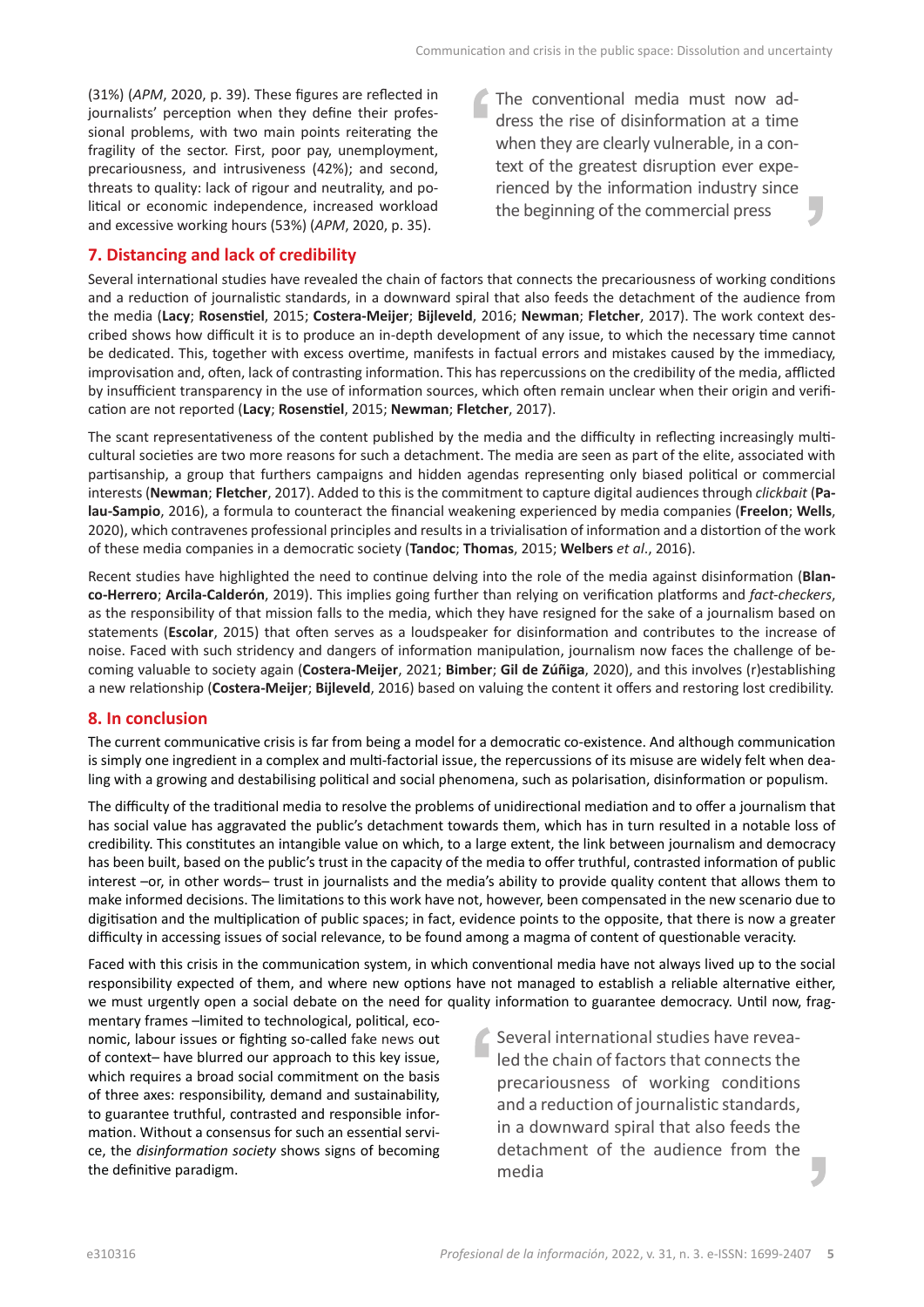(31%) (*APM*, 2020, p. 39). These figures are reflected in journalists' perception when they define their professional problems, with two main points reiterating the fragility of the sector. First, poor pay, unemployment, precariousness, and intrusiveness (42%); and second, threats to quality: lack of rigour and neutrality, and political or economic independence, increased workload and excessive working hours (53%) (*APM*, 2020, p. 35).

# **7. Distancing and lack of credibility**

The conventional media must now address the rise of disinformation at a time when they are clearly vulnerable, in a context of the greatest disruption ever experienced by the information industry since the beginning of the commercial press

Several international studies have revealed the chain of factors that connects the precariousness of working conditions and a reduction of journalistic standards, in a downward spiral that also feeds the detachment of the audience from the media (**Lacy**; **Rosenstiel**, 2015; **Costera-Meijer**; **Bijleveld**, 2016; **Newman**; **Fletcher**, 2017). The work context described shows how difficult it is to produce an in-depth development of any issue, to which the necessary time cannot be dedicated. This, together with excess overtime, manifests in factual errors and mistakes caused by the immediacy, improvisation and, often, lack of contrasting information. This has repercussions on the credibility of the media, afflicted by insufficient transparency in the use of information sources, which often remain unclear when their origin and verification are not reported (**Lacy**; **Rosenstiel**, 2015; **Newman**; **Fletcher**, 2017).

The scant representativeness of the content published by the media and the difficulty in reflecting increasingly multicultural societies are two more reasons for such a detachment. The media are seen as part of the elite, associated with partisanship, a group that furthers campaigns and hidden agendas representing only biased political or commercial interests (**Newman**; **Fletcher**, 2017). Added to this is the commitment to capture digital audiences through *clickbait* (**Palau-Sampio**, 2016), a formula to counteract the financial weakening experienced by media companies (**Freelon**; **Wells**, 2020), which contravenes professional principles and results in a trivialisation of information and a distortion of the work of these media companies in a democratic society (**Tandoc**; **Thomas**, 2015; **Welbers** *et al*., 2016).

Recent studies have highlighted the need to continue delving into the role of the media against disinformation (**Blanco-Herrero**; **Arcila-Calderón**, 2019). This implies going further than relying on verification platforms and *fact-checkers*, as the responsibility of that mission falls to the media, which they have resigned for the sake of a journalism based on statements (**Escolar**, 2015) that often serves as a loudspeaker for disinformation and contributes to the increase of noise. Faced with such stridency and dangers of information manipulation, journalism now faces the challenge of becoming valuable to society again (**Costera-Meijer**, 2021; **Bimber**; **Gil de Zúñiga**, 2020), and this involves (r)establishing a new relationship (**Costera-Meijer**; **Bijleveld**, 2016) based on valuing the content it offers and restoring lost credibility.

# **8. In conclusion**

The current communicative crisis is far from being a model for a democratic co-existence. And although communication is simply one ingredient in a complex and multi-factorial issue, the repercussions of its misuse are widely felt when dealing with a growing and destabilising political and social phenomena, such as polarisation, disinformation or populism.

The difficulty of the traditional media to resolve the problems of unidirectional mediation and to offer a journalism that has social value has aggravated the public's detachment towards them, which has in turn resulted in a notable loss of credibility. This constitutes an intangible value on which, to a large extent, the link between journalism and democracy has been built, based on the public's trust in the capacity of the media to offer truthful, contrasted information of public interest –or, in other words– trust in journalists and the media's ability to provide quality content that allows them to make informed decisions. The limitations to this work have not, however, been compensated in the new scenario due to digitisation and the multiplication of public spaces; in fact, evidence points to the opposite, that there is now a greater difficulty in accessing issues of social relevance, to be found among a magma of content of questionable veracity.

Faced with this crisis in the communication system, in which conventional media have not always lived up to the social responsibility expected of them, and where new options have not managed to establish a reliable alternative either, we must urgently open a social debate on the need for quality information to guarantee democracy. Until now, frag-

mentary frames –limited to technological, political, economic, labour issues or fighting so-called fake news out of context– have blurred our approach to this key issue, which requires a broad social commitment on the basis of three axes: responsibility, demand and sustainability, to guarantee truthful, contrasted and responsible information. Without a consensus for such an essential service, the *disinformation society* shows signs of becoming the definitive paradigm.

Several international studies have revealed the chain of factors that connects the precariousness of working conditions and a reduction of journalistic standards, in a downward spiral that also feeds the detachment of the audience from the media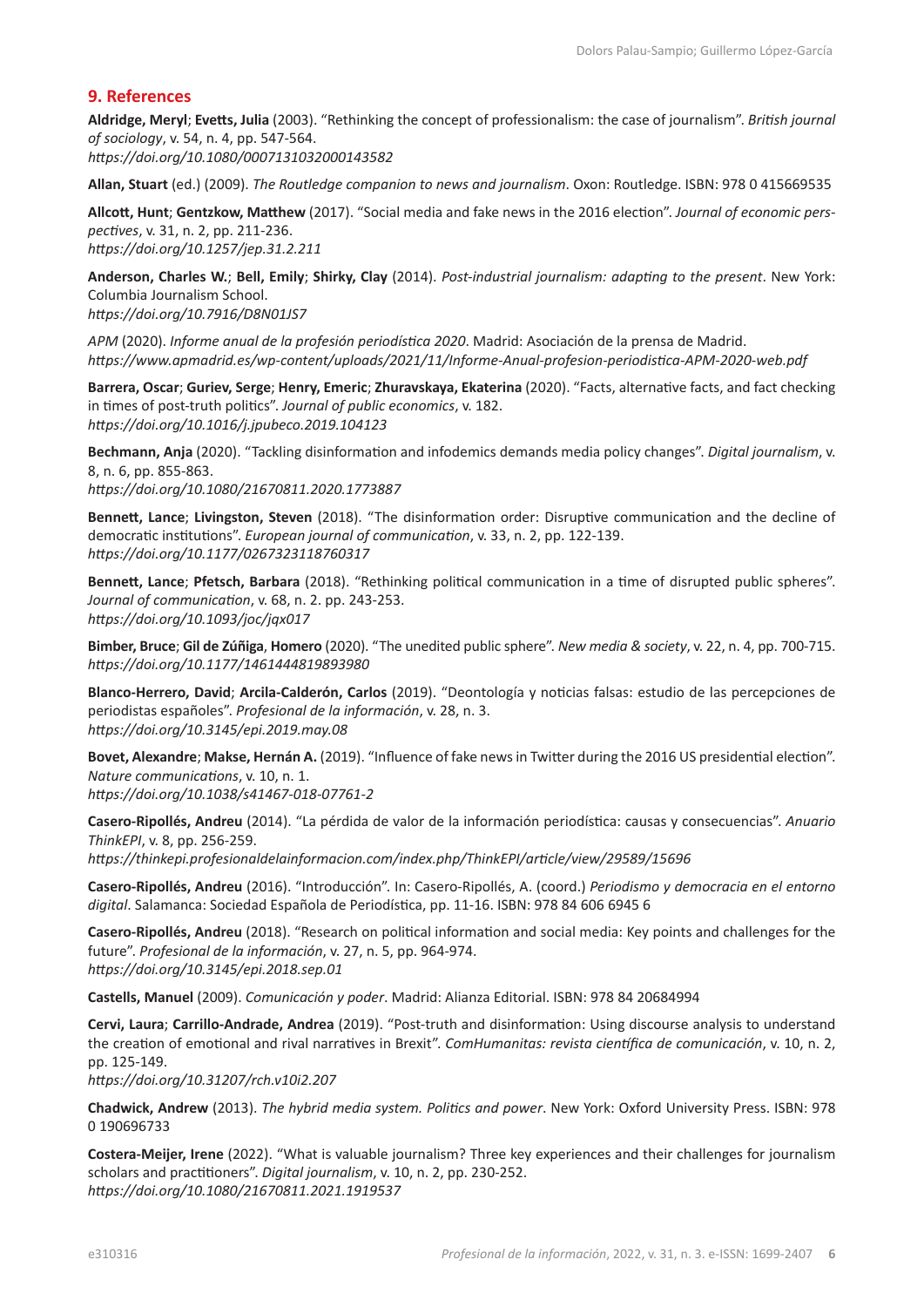# **9. References**

**Aldridge, Meryl**; **Evetts, Julia** (2003). "Rethinking the concept of professionalism: the case of journalism". *British journal of sociology*, v. 54, n. 4, pp. 547-564. *<https://doi.org/10.1080/0007131032000143582>*

**Allan, Stuart** (ed.) (2009). *The Routledge companion to news and journalism*. Oxon: Routledge. ISBN: 978 0 415669535

**Allcott, Hunt**; **Gentzkow, Matthew** (2017). "Social media and fake news in the 2016 election". *Journal of economic perspectives*, v. 31, n. 2, pp. 211-236. *<https://doi.org/10.1257/jep.31.2.211>*

**Anderson, Charles W.**; **Bell, Emily**; **Shirky, Clay** (2014). *Post-industrial journalism: adapting to the present*. New York: Columbia Journalism School. *<https://doi.org/10.7916/D8N01JS7>*

*APM* (2020). *Informe anual de la profesión periodística 2020*. Madrid: Asociación de la prensa de Madrid. *<https://www.apmadrid.es/wp-content/uploads/2021/11/Informe-Anual-profesion-periodistica-APM-2020-web.pdf>*

**Barrera, Oscar**; **Guriev, Serge**; **Henry, Emeric**; **Zhuravskaya, Ekaterina** (2020). "Facts, alternative facts, and fact checking in times of post-truth politics". *Journal of public economics*, v. 182. *<https://doi.org/10.1016/j.jpubeco.2019.104123>*

**Bechmann, Anja** (2020). "Tackling disinformation and infodemics demands media policy changes". *Digital journalism*, v. 8, n. 6, pp. 855-863. *<https://doi.org/10.1080/21670811.2020.1773887>*

**Bennett, Lance**; **Livingston, Steven** (2018). "The disinformation order: Disruptive communication and the decline of democratic institutions". *European journal of communication*, v. 33, n. 2, pp. 122-139. *[https://doi.org/10.1177/0267323118760317](https://doi.org/10.1177%2F0267323118760317)*

**Bennett, Lance**; **Pfetsch, Barbara** (2018). "Rethinking political communication in a time of disrupted public spheres". *Journal of communication*, v. 68, n. 2. pp. 243-253. *<https://doi.org/10.1093/joc/jqx017>*

**Bimber, Bruce**; **Gil de Zúñiga**, **Homero** (2020). "The unedited public sphere". *New media & society*, v. 22, n. 4, pp. 700-715. *[https://doi.org/10.1177/1461444819893980](https://doi.org/10.1177%2F1461444819893980)*

**Blanco-Herrero, David**; **Arcila-Calderón, Carlos** (2019). "Deontología y noticias falsas: estudio de las percepciones de periodistas españoles". *Profesional de la información*, v. 28, n. 3. *<https://doi.org/10.3145/epi.2019.may.08>*

**Bovet, Alexandre**; **Makse, Hernán A.** (2019). "Influence of fake news in Twitter during the 2016 US presidential election". *Nature communications*, v. 10, n. 1.

*<https://doi.org/10.1038/s41467-018-07761-2>*

**Casero-Ripollés, Andreu** (2014). "La pérdida de valor de la información periodística: causas y consecuencias". *Anuario ThinkEPI*, v. 8, pp. 256-259.

*<https://thinkepi.profesionaldelainformacion.com/index.php/ThinkEPI/article/view/29589/15696>*

**Casero-Ripollés, Andreu** (2016). "Introducción". In: Casero-Ripollés, A. (coord.) *Periodismo y democracia en el entorno digital*. Salamanca: Sociedad Española de Periodística, pp. 11-16. ISBN: 978 84 606 6945 6

**Casero-Ripollés, Andreu** (2018). "Research on political information and social media: Key points and challenges for the future". *Profesional de la información*, v. 27, n. 5, pp. 964-974. *<https://doi.org/10.3145/epi.2018.sep.01>*

**Castells, Manuel** (2009). *Comunicación y poder*. Madrid: Alianza Editorial. ISBN: 978 84 20684994

**Cervi, Laura**; **Carrillo-Andrade, Andrea** (2019). "Post-truth and disinformation: Using discourse analysis to understand the creation of emotional and rival narratives in Brexit". *ComHumanitas: revista científica de comunicación*, v. 10, n. 2, pp. 125-149.

*<https://doi.org/10.31207/rch.v10i2.207>*

**Chadwick, Andrew** (2013). *The hybrid media system. Politics and power*. New York: Oxford University Press. ISBN: 978 0 190696733

**Costera-Meijer, Irene** (2022). "What is valuable journalism? Three key experiences and their challenges for journalism scholars and practitioners". *Digital journalism*, v. 10, n. 2, pp. 230-252. *<https://doi.org/10.1080/21670811.2021.1919537>*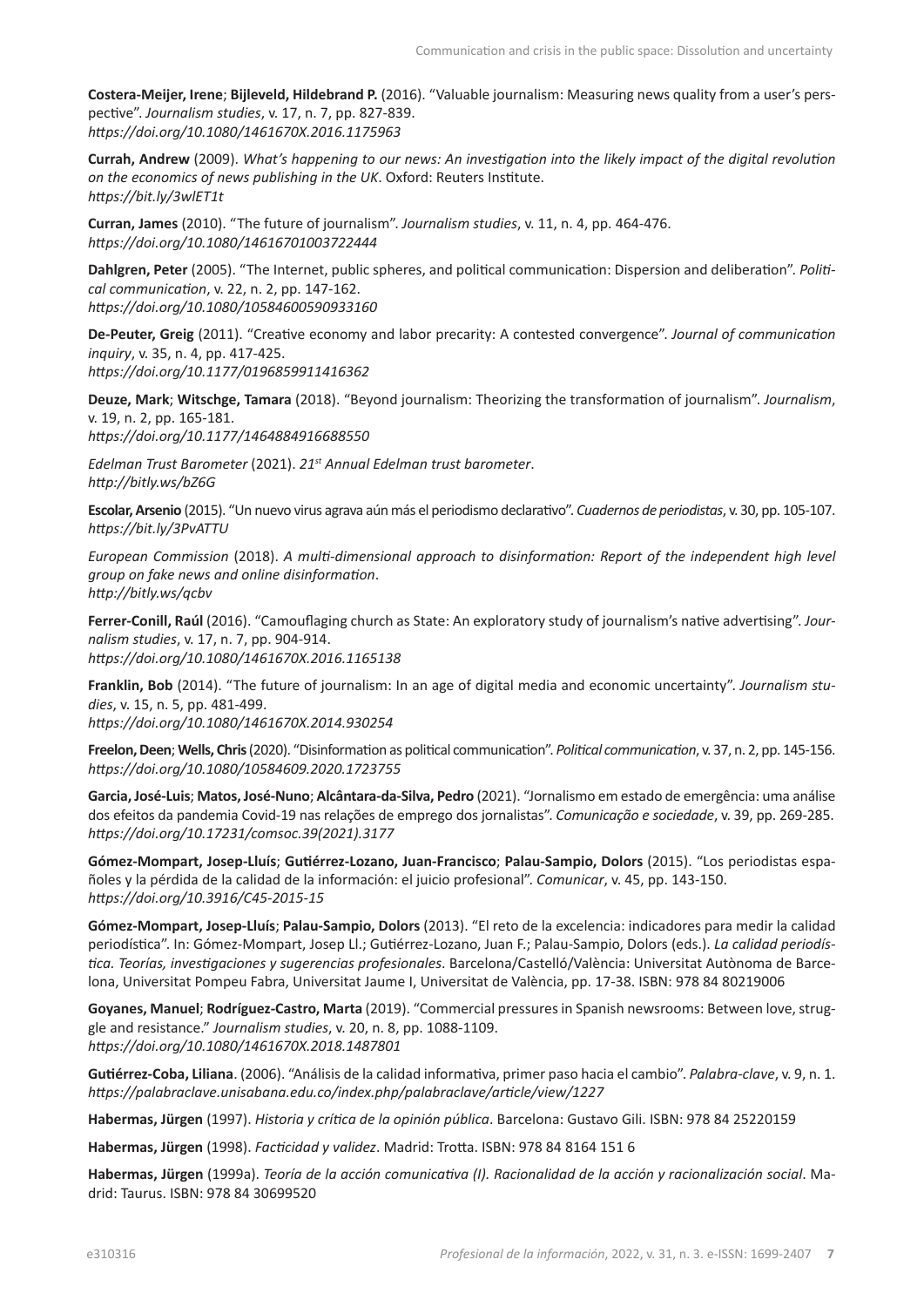**Costera-Meijer, Irene**; **Bijleveld, Hildebrand P.** (2016). "Valuable journalism: Measuring news quality from a user's perspective". *Journalism studies*, v. 17, n. 7, pp. 827-839. *<https://doi.org/10.1080/1461670X.2016.1175963>*

**Currah, Andrew** (2009). *What's happening to our news: An investigation into the likely impact of the digital revolution on the economics of news publishing in the UK*. Oxford: Reuters Institute. *<https://bit.ly/3wlET1t>*

**Curran, James** (2010). "The future of journalism". *Journalism studies*, v. 11, n. 4, pp. 464-476. *<https://doi.org/10.1080/14616701003722444>*

**Dahlgren, Peter** (2005). "The Internet, public spheres, and political communication: Dispersion and deliberation". *Political communication*, v. 22, n. 2, pp. 147-162. *<https://doi.org/10.1080/10584600590933160>*

**De-Peuter, Greig** (2011). "Creative economy and labor precarity: A contested convergence". *Journal of communication inquiry*, v. 35, n. 4, pp. 417-425. *<https://doi.org/10.1177/0196859911416362>*

**Deuze, Mark**; **Witschge, Tamara** (2018). "Beyond journalism: Theorizing the transformation of journalism". *Journalism*, v. 19, n. 2, pp. 165-181. *<https://doi.org/10.1177/1464884916688550>*

*Edelman Trust Barometer* (2021). *21st Annual Edelman trust barometer*. *<http://bitly.ws/bZ6G>*

**Escolar, Arsenio** (2015). "Un nuevo virus agrava aún más el periodismo declarativo". *Cuadernos de periodistas*, v. 30, pp. 105-107. *<https://bit.ly/3PvATTU>*

*European Commission* (2018). *A multi-dimensional approach to disinformation: Report of the independent high level group on fake news and online disinformation*. *<http://bitly.ws/qcbv>*

**Ferrer-Conill, Raúl** (2016). "Camouflaging church as State: An exploratory study of journalism's native advertising". *Journalism studies*, v. 17, n. 7, pp. 904-914. *<https://doi.org/10.1080/1461670X.2016.1165138>*

**Franklin, Bob** (2014). "The future of journalism: In an age of digital media and economic uncertainty". *Journalism studies*, v. 15, n. 5, pp. 481-499. *<https://doi.org/10.1080/1461670X.2014.930254>*

**Freelon, Deen**; **Wells, Chris** (2020). "Disinformation as political communication". *Political communication*, v. 37, n. 2, pp. 145-156. *<https://doi.org/10.1080/10584609.2020.1723755>*

**Garcia, José-Luis**; **Matos, José-Nuno**; **Alcântara-da-Silva, Pedro** (2021). "Jornalismo em estado de emergência: uma análise dos efeitos da pandemia Covid-19 nas relações de emprego dos jornalistas". *Comunicação e sociedade*, v. 39, pp. 269-285. *[https://doi.org/10.17231/comsoc.39\(2021\).3177](https://doi.org/10.17231/comsoc.39(2021).3177)*

**Gómez-Mompart, Josep-Lluís**; **Gutiérrez-Lozano, Juan-Francisco**; **Palau-Sampio, Dolors** (2015). "Los periodistas españoles y la pérdida de la calidad de la información: el juicio profesional". *Comunicar*, v. 45, pp. 143-150. *<https://doi.org/10.3916/C45-2015-15>*

**Gómez-Mompart, Josep-Lluís**; **Palau-Sampio, Dolors** (2013). "El reto de la excelencia: indicadores para medir la calidad periodística". In: Gómez-Mompart, Josep Ll.; Gutiérrez-Lozano, Juan F.; Palau-Sampio, Dolors (eds.). *La calidad periodística. Teorías, investigaciones y sugerencias profesionales*. Barcelona/Castelló/València: Universitat Autònoma de Barcelona, Universitat Pompeu Fabra, Universitat Jaume I, Universitat de València, pp. 17-38. ISBN: 978 84 80219006

**Goyanes, Manuel**; **Rodríguez-Castro, Marta** (2019). "Commercial pressures in Spanish newsrooms: Between love, struggle and resistance." *Journalism studies*, v. 20, n. 8, pp. 1088-1109. *<https://doi.org/10.1080/1461670X.2018.1487801>*

**Gutiérrez-Coba, Liliana**. (2006). "Análisis de la calidad informativa, primer paso hacia el cambio". *Palabra-clave*, v. 9, n. 1. *<https://palabraclave.unisabana.edu.co/index.php/palabraclave/article/view/1227>*

**Habermas, Jürgen** (1997). *Historia y crítica de la opinión pública*. Barcelona: Gustavo Gili. ISBN: 978 84 25220159

**Habermas, Jürgen** (1998). *Facticidad y validez*. Madrid: Trotta. ISBN: 978 84 8164 151 6

**Habermas, Jürgen** (1999a). *Teoría de la acción comunicativa (I). Racionalidad de la acción y racionalización social*. Madrid: Taurus. ISBN: 978 84 30699520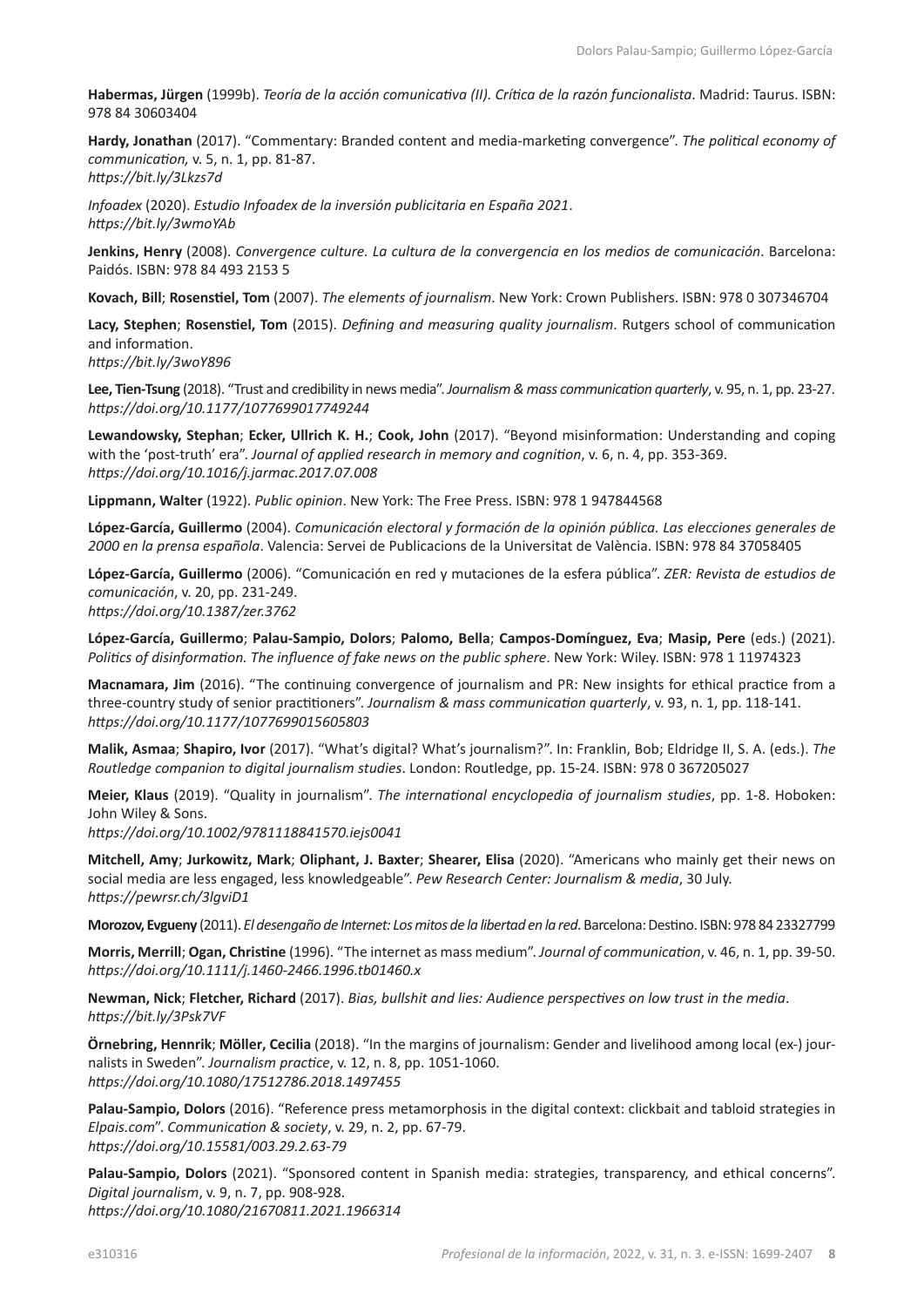**Habermas, Jürgen** (1999b). *Teoría de la acción comunicativa (II). Crítica de la razón funcionalista*. Madrid: Taurus. ISBN: 978 84 30603404

**Hardy, Jonathan** (2017). "Commentary: Branded content and media-marketing convergence". *The political economy of communication,* v. 5, n. 1, pp. 81-87. *<https://bit.ly/3Lkzs7d>*

*Infoadex* (2020). *Estudio Infoadex de la inversión publicitaria en España 2021*. *<https://bit.ly/3wmoYAb>*

**Jenkins, Henry** (2008). *Convergence culture. La cultura de la convergencia en los medios de comunicación*. Barcelona: Paidós. ISBN: 978 84 493 2153 5

**Kovach, Bill**; **Rosenstiel, Tom** (2007). *The elements of journalism*. New York: Crown Publishers. ISBN: 978 0 307346704

**Lacy, Stephen**; **Rosenstiel, Tom** (2015). *Defining and measuring quality journalism*. Rutgers school of communication and information.

*<https://bit.ly/3woY896>*

**Lee, Tien-Tsung** (2018). "Trust and credibility in news media". *Journalism & mass communication quarterly*, v. 95, n. 1, pp. 23-27. *<https://doi.org/10.1177/1077699017749244>*

**Lewandowsky, Stephan**; **Ecker, Ullrich K. H.**; **Cook, John** (2017). "Beyond misinformation: Understanding and coping with the 'post-truth' era". *Journal of applied research in memory and cognition*, v. 6, n. 4, pp. 353-369. *<https://doi.org/10.1016/j.jarmac.2017.07.008>*

**Lippmann, Walter** (1922). *Public opinion*. New York: The Free Press. ISBN: 978 1 947844568

**López-García, Guillermo** (2004). *Comunicación electoral y formación de la opinión pública. Las elecciones generales de 2000 en la prensa española*. Valencia: Servei de Publicacions de la Universitat de València. ISBN: 978 84 37058405

**López-García, Guillermo** (2006). "Comunicación en red y mutaciones de la esfera pública". *ZER: Revista de estudios de comunicación*, v. 20, pp. 231-249.

*<https://doi.org/10.1387/zer.3762>*

**López-García, Guillermo**; **Palau-Sampio, Dolors**; **Palomo, Bella**; **Campos-Domínguez, Eva**; **Masip, Pere** (eds.) (2021). *Politics of disinformation. The influence of fake news on the public sphere*. New York: Wiley. ISBN: 978 1 11974323

**Macnamara, Jim** (2016). "The continuing convergence of journalism and PR: New insights for ethical practice from a three-country study of senior practitioners". *Journalism & mass communication quarterly*, v. 93, n. 1, pp. 118-141. *<https://doi.org/10.1177/1077699015605803>*

**Malik, Asmaa**; **Shapiro, Ivor** (2017). "What's digital? What's journalism?". In: Franklin, Bob; Eldridge II, S. A. (eds.). *The Routledge companion to digital journalism studies*. London: Routledge, pp. 15-24. ISBN: 978 0 367205027

**Meier, Klaus** (2019). "Quality in journalism". *The international encyclopedia of journalism studies*, pp. 1-8. Hoboken: John Wiley & Sons.

*<https://doi.org/10.1002/9781118841570.iejs0041>*

**Mitchell, Amy**; **Jurkowitz, Mark**; **Oliphant, J. Baxter**; **Shearer, Elisa** (2020). "Americans who mainly get their news on social media are less engaged, less knowledgeable". *Pew Research Center: Journalism & media*, 30 July. *<https://pewrsr.ch/3lgviD1>*

**Morozov, Evgueny** (2011). *El desengaño de Internet: Los mitos de la libertad en la red*. Barcelona: Destino. ISBN: 978 84 23327799

**Morris, Merrill**; **Ogan, Christine** (1996). "The internet as mass medium". *Journal of communication*, v. 46, n. 1, pp. 39-50. *<https://doi.org/10.1111/j.1460-2466.1996.tb01460.x>*

**Newman, Nick**; **Fletcher, Richard** (2017). *Bias, bullshit and lies: Audience perspectives on low trust in the media*. *<https://bit.ly/3Psk7VF>*

**Örnebring, Hennrik**; **Möller, Cecilia** (2018). "In the margins of journalism: Gender and livelihood among local (ex-) journalists in Sweden". *Journalism practice*, v. 12, n. 8, pp. 1051-1060. *<https://doi.org/10.1080/17512786.2018.1497455>*

**Palau-Sampio, Dolors** (2016). "Reference press metamorphosis in the digital context: clickbait and tabloid strategies in *[Elpais.com](http://Elpais.com)*". *Communication & society*, v. 29, n. 2, pp. 67-79. *<https://doi.org/10.15581/003.29.2.63-79>*

**Palau-Sampio, Dolors** (2021). "Sponsored content in Spanish media: strategies, transparency, and ethical concerns". *Digital journalism*, v. 9, n. 7, pp. 908-928. *<https://doi.org/10.1080/21670811.2021.1966314>*